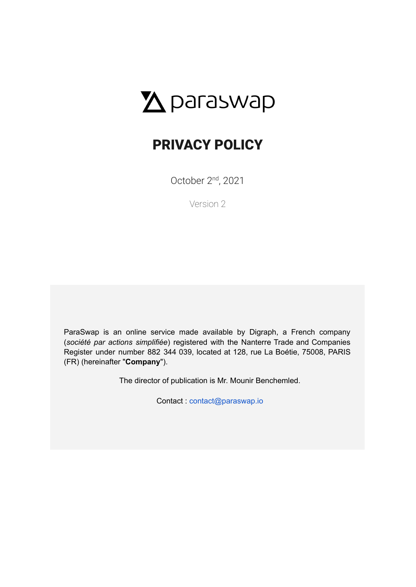# $\Delta$  paraswap

## PRIVACY POLICY

October 2<sup>nd</sup>, 2021

Version 2

ParaSwap is an online service made available by Digraph, a French company (*société par actions simplifiée*) registered with the Nanterre Trade and Companies Register under number 882 344 039, located at 128, rue La Boétie, 75008, PARIS (FR) (hereinafter "**Company**").

The director of publication is Mr. Mounir Benchemled.

Contact : [contact@paraswap.io](mailto:contact@paraswap.io)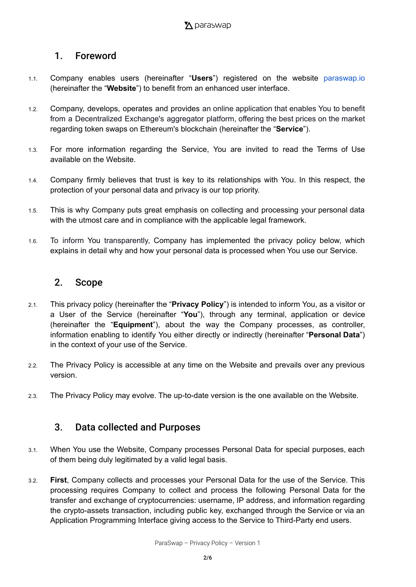#### 1. Foreword

- 1.1. Company enables users (hereinafter "**Users**") registered on the website [paraswap.io](https://www.paraswap.io/#/) (hereinafter the "**Website**") to benefit from an enhanced user interface.
- 1.2. Company, develops, operates and provides an online application that enables You to benefit from a Decentralized Exchange's aggregator platform, offering the best prices on the market regarding token swaps on Ethereum's blockchain (hereinafter the "**Service**").
- 1.3. For more information regarding the Service, You are invited to read the Terms of Use available on the Website.
- 1.4. Company firmly believes that trust is key to its relationships with You. In this respect, the protection of your personal data and privacy is our top priority.
- 1.5. This is why Company puts great emphasis on collecting and processing your personal data with the utmost care and in compliance with the applicable legal framework.
- 1.6. To inform You transparently, Company has implemented the privacy policy below, which explains in detail why and how your personal data is processed when You use our Service.

#### 2. Scope

- 2.1. This privacy policy (hereinafter the "**Privacy Policy**") is intended to inform You, as a visitor or a User of the Service (hereinafter "**You**"), through any terminal, application or device (hereinafter the "**Equipment**"), about the way the Company processes, as controller, information enabling to identify You either directly or indirectly (hereinafter "**Personal Data**") in the context of your use of the Service.
- 2.2. The Privacy Policy is accessible at any time on the Website and prevails over any previous version.
- 2.3. The Privacy Policy may evolve. The up-to-date version is the one available on the Website.

#### 3. Data collected and Purposes

- 3.1. When You use the Website, Company processes Personal Data for special purposes, each of them being duly legitimated by a valid legal basis.
- 3.2. **First**, Company collects and processes your Personal Data for the use of the Service. This processing requires Company to collect and process the following Personal Data for the transfer and exchange of cryptocurrencies: username, IP address, and information regarding the crypto-assets transaction, including public key, exchanged through the Service or via an Application Programming Interface giving access to the Service to Third-Party end users.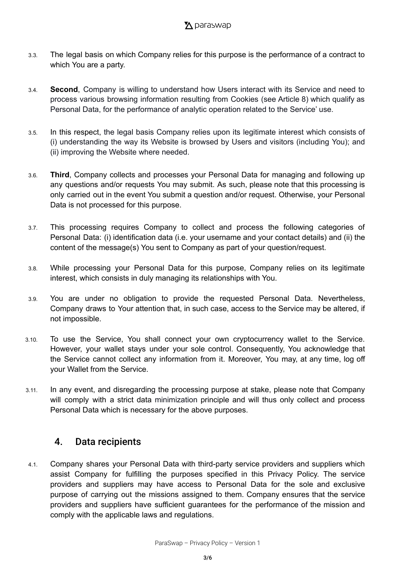- 3.3. The legal basis on which Company relies for this purpose is the performance of a contract to which You are a party.
- 3.4. **Second**, Company is willing to understand how Users interact with its Service and need to process various browsing information resulting from Cookies (see Article 8) which qualify as Personal Data, for the performance of analytic operation related to the Service' use.
- 3.5. In this respect, the legal basis Company relies upon its legitimate interest which consists of (i) understanding the way its Website is browsed by Users and visitors (including You); and (ii) improving the Website where needed.
- 3.6. **Third**, Company collects and processes your Personal Data for managing and following up any questions and/or requests You may submit. As such, please note that this processing is only carried out in the event You submit a question and/or request. Otherwise, your Personal Data is not processed for this purpose.
- 3.7. This processing requires Company to collect and process the following categories of Personal Data: (i) identification data (i.e. your username and your contact details) and (ii) the content of the message(s) You sent to Company as part of your question/request.
- 3.8. While processing your Personal Data for this purpose, Company relies on its legitimate interest, which consists in duly managing its relationships with You.
- 3.9. You are under no obligation to provide the requested Personal Data. Nevertheless, Company draws to Your attention that, in such case, access to the Service may be altered, if not impossible.
- 3.10. To use the Service, You shall connect your own cryptocurrency wallet to the Service. However, your wallet stays under your sole control. Consequently, You acknowledge that the Service cannot collect any information from it. Moreover, You may, at any time, log off your Wallet from the Service.
- 3.11. In any event, and disregarding the processing purpose at stake, please note that Company will comply with a strict data minimization principle and will thus only collect and process Personal Data which is necessary for the above purposes.

#### 4. Data recipients

4.1. Company shares your Personal Data with third-party service providers and suppliers which assist Company for fulfilling the purposes specified in this Privacy Policy. The service providers and suppliers may have access to Personal Data for the sole and exclusive purpose of carrying out the missions assigned to them. Company ensures that the service providers and suppliers have sufficient guarantees for the performance of the mission and comply with the applicable laws and regulations.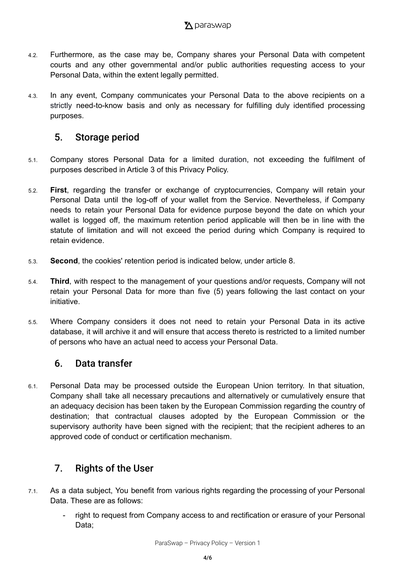- 4.2. Furthermore, as the case may be, Company shares your Personal Data with competent courts and any other governmental and/or public authorities requesting access to your Personal Data, within the extent legally permitted.
- 4.3. In any event, Company communicates your Personal Data to the above recipients on a strictly need-to-know basis and only as necessary for fulfilling duly identified processing purposes.

#### 5. Storage period

- 5.1. Company stores Personal Data for a limited duration, not exceeding the fulfilment of purposes described in Article 3 of this Privacy Policy.
- 5.2. **First**, regarding the transfer or exchange of cryptocurrencies, Company will retain your Personal Data until the log-off of your wallet from the Service. Nevertheless, if Company needs to retain your Personal Data for evidence purpose beyond the date on which your wallet is logged off, the maximum retention period applicable will then be in line with the statute of limitation and will not exceed the period during which Company is required to retain evidence.
- 5.3. **Second**, the cookies' retention period is indicated below, under article 8.
- 5.4. **Third**, with respect to the management of your questions and/or requests, Company will not retain your Personal Data for more than five (5) years following the last contact on your initiative.
- 5.5. Where Company considers it does not need to retain your Personal Data in its active database, it will archive it and will ensure that access thereto is restricted to a limited number of persons who have an actual need to access your Personal Data.

#### 6. Data transfer

6.1. Personal Data may be processed outside the European Union territory. In that situation, Company shall take all necessary precautions and alternatively or cumulatively ensure that an adequacy decision has been taken by the European Commission regarding the country of destination; that contractual clauses adopted by the European Commission or the supervisory authority have been signed with the recipient; that the recipient adheres to an approved code of conduct or certification mechanism.

### 7. Rights of the User

- 7.1. As a data subject, You benefit from various rights regarding the processing of your Personal Data. These are as follows:
	- right to request from Company access to and rectification or erasure of your Personal Data;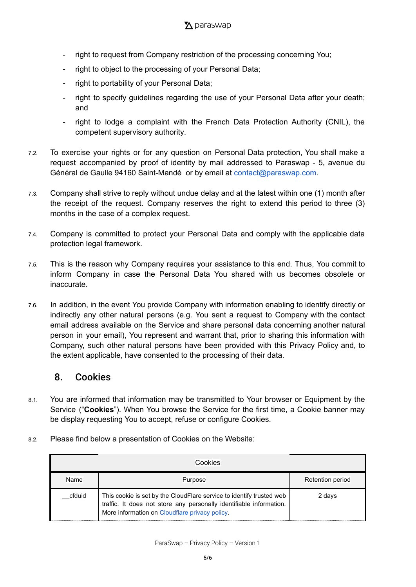- right to request from Company restriction of the processing concerning You;
- right to object to the processing of your Personal Data;
- right to portability of your Personal Data;
- right to specify guidelines regarding the use of your Personal Data after your death; and
- right to lodge a complaint with the French Data Protection Authority (CNIL), the competent supervisory authority.
- 7.2. To exercise your rights or for any question on Personal Data protection, You shall make a request accompanied by proof of identity by mail addressed to Paraswap - 5, avenue du Général de Gaulle 94160 Saint-Mandé or by email at [contact@paraswap.com](mailto:contact@sorare.com).
- 7.3. Company shall strive to reply without undue delay and at the latest within one (1) month after the receipt of the request. Company reserves the right to extend this period to three (3) months in the case of a complex request.
- 7.4. Company is committed to protect your Personal Data and comply with the applicable data protection legal framework.
- 7.5. This is the reason why Company requires your assistance to this end. Thus, You commit to inform Company in case the Personal Data You shared with us becomes obsolete or inaccurate.
- 7.6. In addition, in the event You provide Company with information enabling to identify directly or indirectly any other natural persons (e.g. You sent a request to Company with the contact email address available on the Service and share personal data concerning another natural person in your email), You represent and warrant that, prior to sharing this information with Company, such other natural persons have been provided with this Privacy Policy and, to the extent applicable, have consented to the processing of their data.

#### 8. Cookies

- 8.1. You are informed that information may be transmitted to Your browser or Equipment by the Service ("**Cookies**"). When You browse the Service for the first time, a Cookie banner may be display requesting You to accept, refuse or configure Cookies.
- 8.2. Please find below a presentation of Cookies on the Website:

| Cookies |                                                                                                                                                                                               |                  |  |
|---------|-----------------------------------------------------------------------------------------------------------------------------------------------------------------------------------------------|------------------|--|
| Name    | Purpose                                                                                                                                                                                       | Retention period |  |
| cfduid  | This cookie is set by the CloudFlare service to identify trusted web<br>traffic. It does not store any personally identifiable information.<br>More information on Cloudflare privacy policy. | 2 days           |  |